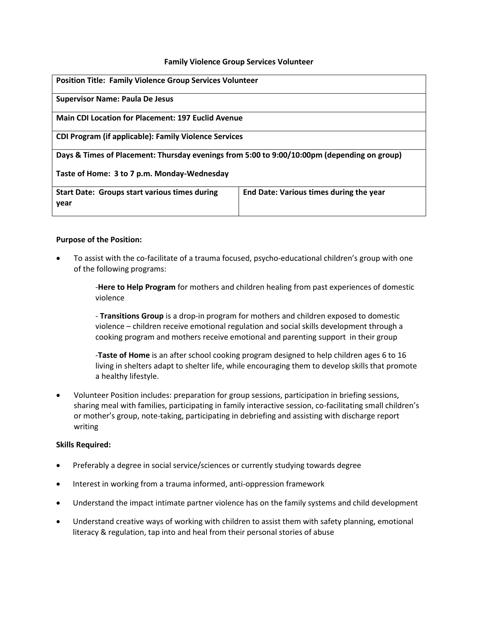### **Family Violence Group Services Volunteer**

| <b>Position Title: Family Violence Group Services Volunteer</b>                             |                                         |
|---------------------------------------------------------------------------------------------|-----------------------------------------|
| <b>Supervisor Name: Paula De Jesus</b>                                                      |                                         |
| <b>Main CDI Location for Placement: 197 Euclid Avenue</b>                                   |                                         |
| <b>CDI Program (if applicable): Family Violence Services</b>                                |                                         |
| Days & Times of Placement: Thursday evenings from 5:00 to 9:00/10:00pm (depending on group) |                                         |
| Taste of Home: 3 to 7 p.m. Monday-Wednesday                                                 |                                         |
| <b>Start Date: Groups start various times during</b><br>year                                | End Date: Various times during the year |

### **Purpose of the Position:**

 To assist with the co-facilitate of a trauma focused, psycho-educational children's group with one of the following programs:

> -**Here to Help Program** for mothers and children healing from past experiences of domestic violence

- **Transitions Group** is a drop-in program for mothers and children exposed to domestic violence – children receive emotional regulation and social skills development through a cooking program and mothers receive emotional and parenting support in their group

-**Taste of Home** is an after school cooking program designed to help children ages 6 to 16 living in shelters adapt to shelter life, while encouraging them to develop skills that promote a healthy lifestyle.

 Volunteer Position includes: preparation for group sessions, participation in briefing sessions, sharing meal with families, participating in family interactive session, co-facilitating small children's or mother's group, note-taking, participating in debriefing and assisting with discharge report writing

### **Skills Required:**

- Preferably a degree in social service/sciences or currently studying towards degree
- Interest in working from a trauma informed, anti-oppression framework
- Understand the impact intimate partner violence has on the family systems and child development
- Understand creative ways of working with children to assist them with safety planning, emotional literacy & regulation, tap into and heal from their personal stories of abuse